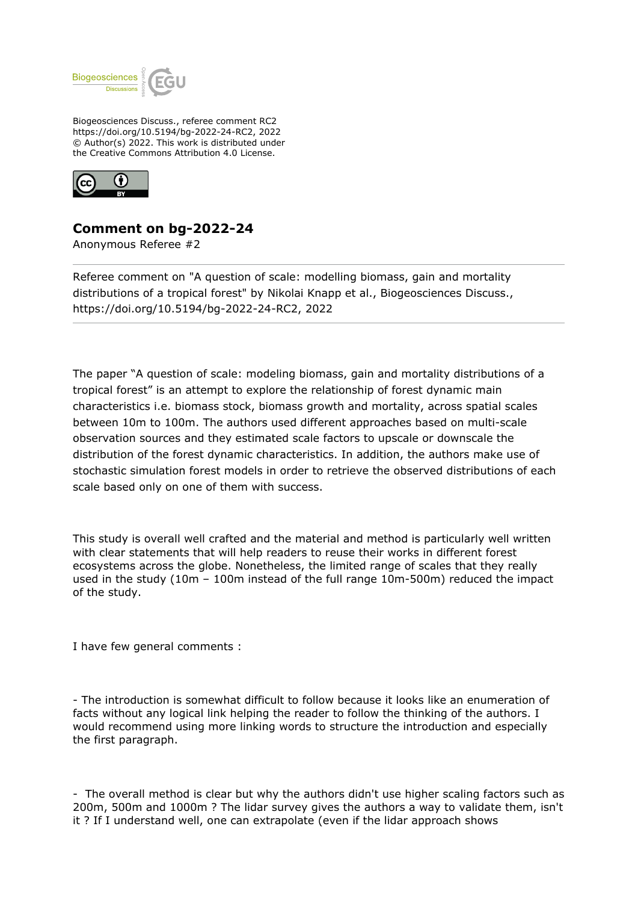

Biogeosciences Discuss., referee comment RC2 https://doi.org/10.5194/bg-2022-24-RC2, 2022 © Author(s) 2022. This work is distributed under the Creative Commons Attribution 4.0 License.



## **Comment on bg-2022-24**

Anonymous Referee #2

Referee comment on "A question of scale: modelling biomass, gain and mortality distributions of a tropical forest" by Nikolai Knapp et al., Biogeosciences Discuss., https://doi.org/10.5194/bg-2022-24-RC2, 2022

The paper "A question of scale: modeling biomass, gain and mortality distributions of a tropical forest" is an attempt to explore the relationship of forest dynamic main characteristics i.e. biomass stock, biomass growth and mortality, across spatial scales between 10m to 100m. The authors used different approaches based on multi-scale observation sources and they estimated scale factors to upscale or downscale the distribution of the forest dynamic characteristics. In addition, the authors make use of stochastic simulation forest models in order to retrieve the observed distributions of each scale based only on one of them with success.

This study is overall well crafted and the material and method is particularly well written with clear statements that will help readers to reuse their works in different forest ecosystems across the globe. Nonetheless, the limited range of scales that they really used in the study (10m – 100m instead of the full range 10m-500m) reduced the impact of the study.

I have few general comments :

- The introduction is somewhat difficult to follow because it looks like an enumeration of facts without any logical link helping the reader to follow the thinking of the authors. I would recommend using more linking words to structure the introduction and especially the first paragraph.

- The overall method is clear but why the authors didn't use higher scaling factors such as 200m, 500m and 1000m ? The lidar survey gives the authors a way to validate them, isn't it ? If I understand well, one can extrapolate (even if the lidar approach shows